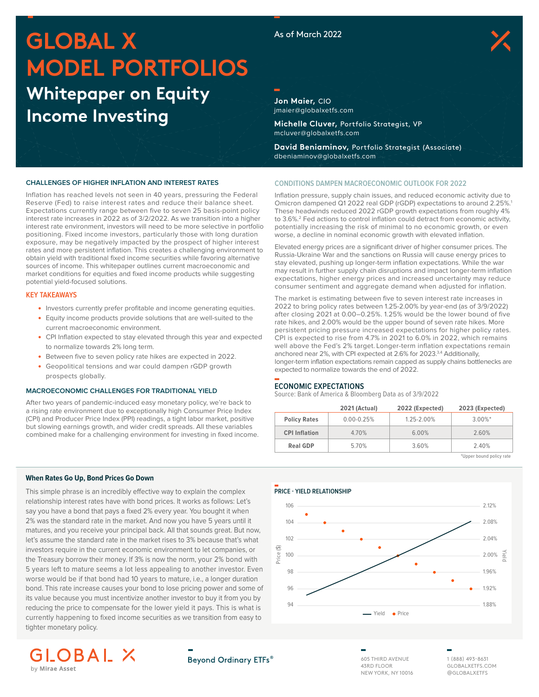# **GLOBAL X MODEL PORTFOLIOS Whitepaper on Equity Income Investing**

# As of March 2022



**Jon Maier,** CIO jmaier@globalxetfs.com

**Michelle Cluver,** Portfolio Strategist, VP mcluver@globalxetfs.com

**David Beniaminov,** Portfolio Strategist (Associate) dbeniaminov@globalxetfs.com

# **CHALLENGES OF HIGHER INFLATION AND INTEREST RATES**

Inflation has reached levels not seen in 40 years, pressuring the Federal Reserve (Fed) to raise interest rates and reduce their balance sheet. Expectations currently range between five to seven 25 basis-point policy interest rate increases in 2022 as of 3/2/2022. As we transition into a higher interest rate environment, investors will need to be more selective in portfolio positioning. Fixed income investors, particularly those with long duration exposure, may be negatively impacted by the prospect of higher interest rates and more persistent inflation. This creates a challenging environment to obtain yield with traditional fixed income securities while favoring alternative sources of income. This whitepaper outlines current macroeconomic and market conditions for equities and fixed income products while suggesting potential yield-focused solutions.

# **KEY TAKEAWAYS**

- Investors currently prefer profitable and income generating equities.
- Equity income products provide solutions that are well-suited to the current macroeconomic environment.
- CPI Inflation expected to stay elevated through this year and expected to normalize towards 2% long term.
- Between five to seven policy rate hikes are expected in 2022.
- Geopolitical tensions and war could dampen rGDP growth prospects globally.

# **MACROECONOMIC CHALLENGES FOR TRADITIONAL YIELD**

After two years of pandemic-induced easy monetary policy, we're back to a rising rate environment due to exceptionally high Consumer Price Index (CPI) and Producer Price Index (PPI) readings, a tight labor market, positive but slowing earnings growth, and wider credit spreads. All these variables combined make for a challenging environment for investing in fixed income.

# **When Rates Go Up, Bond Prices Go Down**

This simple phrase is an incredibly effective way to explain the complex relationship interest rates have with bond prices. It works as follows: Let's say you have a bond that pays a fixed 2% every year. You bought it when 2% was the standard rate in the market. And now you have 5 years until it matures, and you receive your principal back. All that sounds great. But now, let's assume the standard rate in the market rises to 3% because that's what investors require in the current economic environment to let companies, or the Treasury borrow their money. If 3% is now the norm, your 2% bond with 5 years left to mature seems a lot less appealing to another investor. Even worse would be if that bond had 10 years to mature, i.e., a longer duration bond. This rate increase causes your bond to lose pricing power and some of its value because you must incentivize another investor to buy it from you by reducing the price to compensate for the lower yield it pays. This is what is currently happening to fixed income securities as we transition from easy to tighter monetary policy.

# **GLOBAL X** by Mirae Asset

**Beyond Ordinary ETFs®** 

**CONDITIONS DAMPEN MACROECONOMIC OUTLOOK FOR 2022**

Inflation pressure, supply chain issues, and reduced economic activity due to Omicron dampened Q1 2022 real GDP (rGDP) expectations to around 2.25%.<sup>1</sup> These headwinds reduced 2022 rGDP growth expectations from roughly 4% to 3.6%.<sup>2</sup> Fed actions to control inflation could detract from economic activity, potentially increasing the risk of minimal to no economic growth, or even worse, a decline in nominal economic growth with elevated inflation.

Elevated energy prices are a significant driver of higher consumer prices. The Russia-Ukraine War and the sanctions on Russia will cause energy prices to stay elevated, pushing up longer-term inflation expectations. While the war may result in further supply chain disruptions and impact longer-term inflation expectations, higher energy prices and increased uncertainty may reduce consumer sentiment and aggregate demand when adjusted for inflation.

The market is estimating between five to seven interest rate increases in 2022 to bring policy rates between 1.25-2.00% by year-end (as of 3/9/2022) after closing 2021 at 0.00–0.25%. 1.25% would be the lower bound of five rate hikes, and 2.00% would be the upper bound of seven rate hikes. More persistent pricing pressure increased expectations for higher policy rates. CPI is expected to rise from 4.7% in 2021 to 6.0% in 2022, which remains well above the Fed's 2% target. Longer-term inflation expectations remain anchored near 2%, with CPI expected at 2.6% for 2023.<sup>3,4</sup> Additionally, longer-term inflation expectations remain capped as supply chains bottlenecks are expected to normalize towards the end of 2022.

# **ECONOMIC EXPECTATIONS**

Source: Bank of America & Bloomberg Data as of 3/9/2022

|                      | 2021 (Actual)  | 2022 (Expected) | 2023 (Expected)          |
|----------------------|----------------|-----------------|--------------------------|
| <b>Policy Rates</b>  | $0.00 - 0.25%$ | 1.25-2.00%      | $3.00\%$ *               |
| <b>CPI Inflation</b> | 4.70%          | 6.00%           | 2.60%                    |
| <b>Real GDP</b>      | 5.70%          | 3.60%           | 2.40%                    |
|                      |                |                 | *Hanor hound policy rate |

<sup>\*</sup>Upper bound policy rate



605 THIRD AVENUE 43RD FLOOR NEW YORK, NY 10016 1 (888) 493-8631 GLOBALXETFS.COM @GLOBALXETFS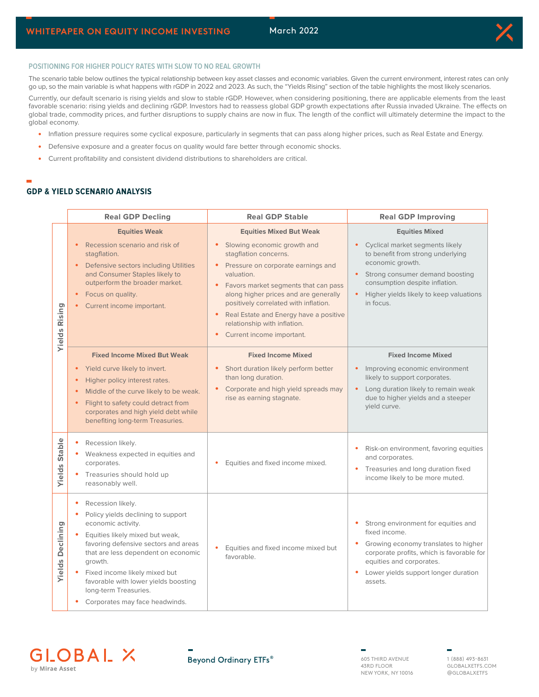

# **POSITIONING FOR HIGHER POLICY RATES WITH SLOW TO NO REAL GROWTH**

The scenario table below outlines the typical relationship between key asset classes and economic variables. Given the current environment, interest rates can only go up, so the main variable is what happens with rGDP in 2022 and 2023. As such, the "Yields Rising" section of the table highlights the most likely scenarios.

Currently, our default scenario is rising yields and slow to stable rGDP. However, when considering positioning, there are applicable elements from the least favorable scenario: rising yields and declining rGDP. Investors had to reassess global GDP growth expectations after Russia invaded Ukraine. The effects on global trade, commodity prices, and further disruptions to supply chains are now in flux. The length of the conflict will ultimately determine the impact to the global economy.

- Inflation pressure requires some cyclical exposure, particularly in segments that can pass along higher prices, such as Real Estate and Energy.
- Defensive exposure and a greater focus on quality would fare better through economic shocks.
- Current profitability and consistent dividend distributions to shareholders are critical.

# **GDP & YIELD SCENARIO ANALYSIS**

|                         | <b>Real GDP Decling</b>                                                                                                                                                                                                                                                                                                                             | <b>Real GDP Stable</b>                                                                                                                                                                                                                                                                                                                                                      | <b>Real GDP Improving</b>                                                                                                                                                                                                                                   |  |
|-------------------------|-----------------------------------------------------------------------------------------------------------------------------------------------------------------------------------------------------------------------------------------------------------------------------------------------------------------------------------------------------|-----------------------------------------------------------------------------------------------------------------------------------------------------------------------------------------------------------------------------------------------------------------------------------------------------------------------------------------------------------------------------|-------------------------------------------------------------------------------------------------------------------------------------------------------------------------------------------------------------------------------------------------------------|--|
| <b>Yields Rising</b>    | <b>Equities Weak</b><br>Recession scenario and risk of<br>$\bullet$<br>stagflation.<br>Defensive sectors including Utilities<br>$\bullet$<br>and Consumer Staples likely to<br>outperform the broader market.<br>Focus on quality.<br>ò<br>Current income important.                                                                                | <b>Equities Mixed But Weak</b><br>Slowing economic growth and<br>stagflation concerns.<br>Pressure on corporate earnings and<br>valuation.<br>Favors market segments that can pass<br>along higher prices and are generally<br>positively correlated with inflation.<br>Real Estate and Energy have a positive<br>relationship with inflation.<br>Current income important. | <b>Equities Mixed</b><br>Cyclical market segments likely<br>to benefit from strong underlying<br>economic growth.<br>Strong consumer demand boosting<br>consumption despite inflation.<br>$\bullet$<br>Higher yields likely to keep valuations<br>in focus. |  |
|                         | <b>Fixed Income Mixed But Weak</b><br>Yield curve likely to invert.<br>$\bullet$<br>Higher policy interest rates.<br>$\bullet$<br>Middle of the curve likely to be weak.<br>$\bullet$<br>Flight to safety could detract from<br>ò<br>corporates and high yield debt while<br>benefiting long-term Treasuries.                                       | <b>Fixed Income Mixed</b><br>Short duration likely perform better<br>than long duration.<br>Corporate and high yield spreads may<br>rise as earning stagnate.                                                                                                                                                                                                               | <b>Fixed Income Mixed</b><br>Improving economic environment<br>likely to support corporates.<br>Long duration likely to remain weak<br>due to higher yields and a steeper<br>yield curve.                                                                   |  |
| <b>Yields Stable</b>    | Recession likely.<br>Weakness expected in equities and<br>corporates.<br>Treasuries should hold up<br>reasonably well.                                                                                                                                                                                                                              | Equities and fixed income mixed.                                                                                                                                                                                                                                                                                                                                            | Risk-on environment, favoring equities<br>$\bullet$<br>and corporates.<br>Treasuries and long duration fixed<br>income likely to be more muted.                                                                                                             |  |
| <b>Yields Declining</b> | ٠<br>Recession likely.<br>Policy yields declining to support<br>economic activity.<br>Equities likely mixed but weak,<br>favoring defensive sectors and areas<br>that are less dependent on economic<br>growth.<br>Fixed income likely mixed but<br>favorable with lower yields boosting<br>long-term Treasuries.<br>Corporates may face headwinds. | Equities and fixed income mixed but<br>favorable.                                                                                                                                                                                                                                                                                                                           | Strong environment for equities and<br>٠<br>fixed income.<br>Growing economy translates to higher<br>corporate profits, which is favorable for<br>equities and corporates.<br>Lower yields support longer duration<br>٠<br>assets.                          |  |



**Beyond Ordinary ETFs®** 

605 THIRD AVENUE 43RD FLOOR NEW YORK, NY 10016

1 (888) 493-8631 GLOBALXETFS.COM @GLOBALXETFS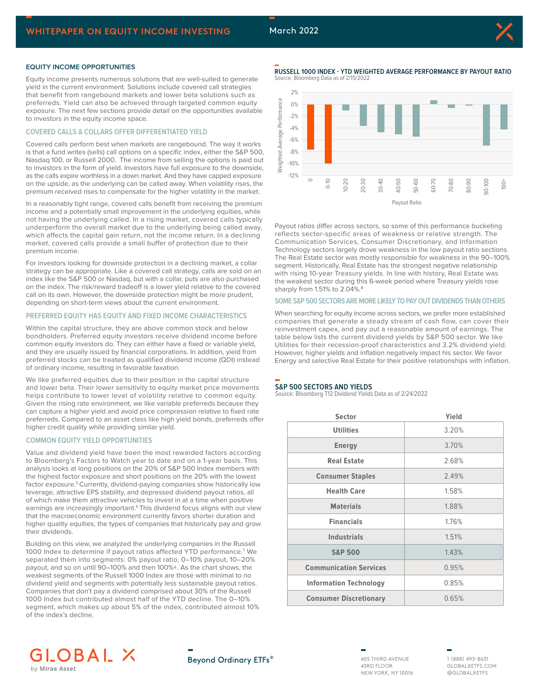

## **EQUITY INCOME OPPORTUNITIES**

Equity income presents numerous solutions that are well-suited to generate yield in the current environment. Solutions include covered call strategies that benefit from rangebound markets and lower beta solutions such as preferreds. Yield can also be achieved through targeted common equity exposure. The next few sections provide detail on the opportunities available to investors in the equity income space.

# **COVERED CALLS & COLLARS OFFER DIFFERENTIATED YIELD**

Covered calls perform best when markets are rangebound. The way it works is that a fund writes (sells) call options on a specific index, either the S&P 500, Nasdaq 100, or Russell 2000. The income from selling the options is paid out to investors in the form of yield. Investors have full exposure to the downside, as the calls expire worthless in a down market. And they have capped exposure on the upside, as the underlying can be called away. When volatility rises, the premium received rises to compensate for the higher volatility in the market.

In a reasonably tight range, covered calls benefit from receiving the premium income and a potentially small improvement in the underlying equities, while not having the underlying called. In a rising market, covered calls typically underperform the overall market due to the underlying being called away, which affects the capital gain return, not the income return. In a declining market, covered calls provide a small buffer of protection due to their premium income.

For investors looking for downside protection in a declining market, a collar strategy can be appropriate. Like a covered call strategy, calls are sold on an index like the S&P 500 or Nasdaq, but with a collar, puts are also purchased on the index. The risk/reward tradeoff is a lower yield relative to the covered call on its own. However, the downside protection might be more prudent, depending on short-term views about the current environment.

# **PREFERRED EQUITY HAS EQUITY AND FIXED INCOME CHARACTERISTICS**

Within the capital structure, they are above common stock and below bondholders. Preferred equity investors receive dividend income before common equity investors do. They can either have a fixed or variable yield, and they are usually issued by financial corporations. In addition, yield from preferred stocks can be treated as qualified dividend income (QDI) instead of ordinary income, resulting in favorable taxation.

We like preferred equities due to their position in the capital structure and lower beta. Their lower sensitivity to equity market price movements helps contribute to lower level of volatility relative to common equity. Given the rising rate environment, we like variable preferreds because they can capture a higher yield and avoid price compression relative to fixed rate preferreds. Compared to an asset class like high yield bonds, preferreds offer higher credit quality while providing similar yield.

# **COMMON EQUITY YIELD OPPORTUNITIES**

Value and dividend yield have been the most rewarded factors according to Bloomberg's Factors to Watch year to date and on a 1-year basis. This analysis looks at long positions on the 20% of S&P 500 Index members with the highest factor exposure and short positions on the 20% with the lowest factor exposure.<sup>5</sup> Currently, dividend-paying companies show historically low leverage, attractive EPS stability, and depressed dividend payout ratios, all of which make them attractive vehicles to invest in at a time when positive earnings are increasingly important.<sup>6</sup> This dividend focus aligns with our view that the macroeconomic environment currently favors shorter duration and higher quality equities, the types of companies that historically pay and grow their dividends.

Building on this view, we analyzed the underlying companies in the Russell 1000 Index to determine if payout ratios affected YTD performance.7 We separated them into segments: 0% payout ratio, 0–10% payout, 10–20% payout, and so on until 90–100% and then 100%+. As the chart shows, the weakest segments of the Russell 1000 Index are those with minimal to no dividend yield and segments with potentially less sustainable payout ratios. Companies that don't pay a dividend comprised about 30% of the Russell 1000 Index but contributed almost half of the YTD decline. The 0–10% segment, which makes up about 5% of the index, contributed almost 10% of the index's decline.

**RUSSELL 1000 INDEX - YTD WEIGHTED AVERAGE PERFORMANCE BY PAYOUT RATIO**  Source: Bloomberg Data as of 2/15/2022



Payout ratios differ across sectors, so some of this performance bucketing reflects sector-specific areas of weakness or relative strength. The Communication Services, Consumer Discretionary, and Information Technology sectors largely drove weakness in the low payout ratio sections. The Real Estate sector was mostly responsible for weakness in the 90–100% segment. Historically, Real Estate has the strongest negative relationship with rising 10-year Treasury yields. In line with history, Real Estate was the weakest sector during this 6-week period where Treasury yields rose sharply from 1.51% to 2.04%.<sup>8</sup>

## **SOME S&P 500 SECTORS ARE MORE LIKELY TO PAY OUT DIVIDENDS THAN OTHERS**

When searching for equity income across sectors, we prefer more established companies that generate a steady stream of cash flow, can cover their reinvestment capex, and pay out a reasonable amount of earnings. The table below lists the current dividend yields by S&P 500 sector. We like Utilities for their recession-proof characteristics and 3.2% dividend yield. However, higher yields and inflation negatively impact his sector. We favor Energy and selective Real Estate for their positive relationships with inflation.

# **S&P 500 SECTORS AND YIELDS**

Source: Bloomberg T12 Dividend Yields Data as of 2/24/2022

| <b>Sector</b>                 | Yield |
|-------------------------------|-------|
| <b>Utilities</b>              | 3.20% |
| <b>Energy</b>                 | 3.70% |
| <b>Real Estate</b>            | 2.68% |
| <b>Consumer Staples</b>       | 2.49% |
| <b>Health Care</b>            | 1.58% |
| <b>Materials</b>              | 1.88% |
| <b>Financials</b>             | 1.76% |
| <b>Industrials</b>            | 1.51% |
| <b>S&amp;P 500</b>            | 1.43% |
| <b>Communication Services</b> | 0.95% |
| <b>Information Technology</b> | 0.85% |
| <b>Consumer Discretionary</b> | 0.65% |





605 THIRD AVENUE 43RD FLOOR NEW YORK, NY 10016

1 (888) 493-8631 GLOBALXETFS.COM @GLOBALXETFS